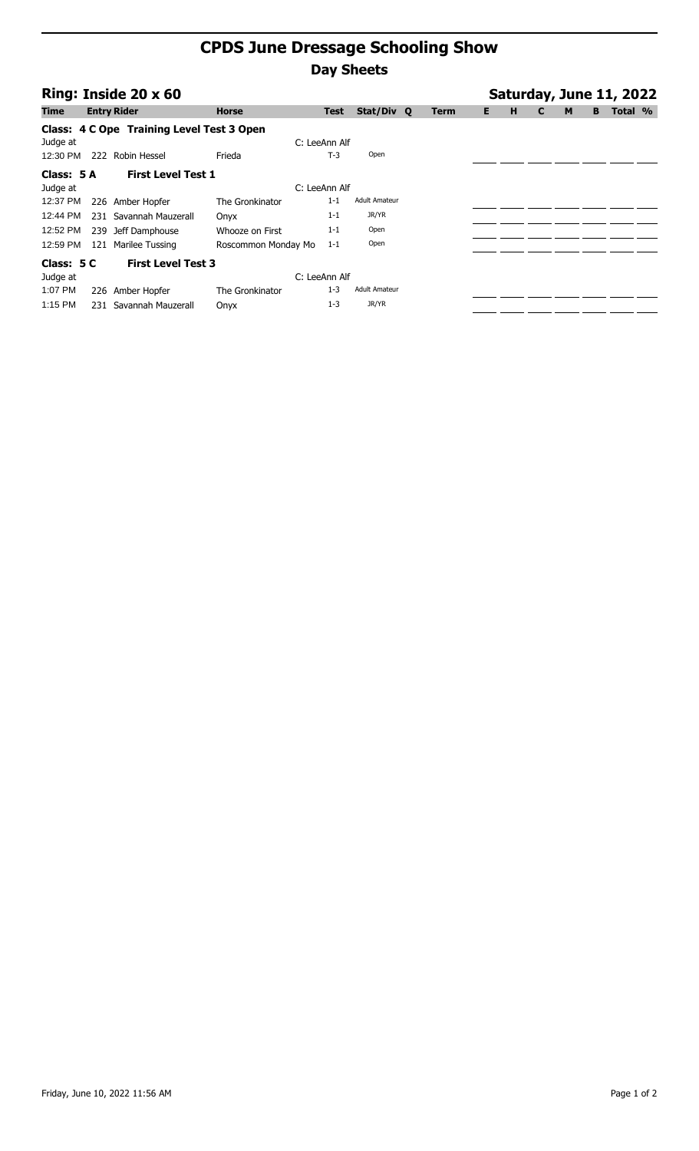## **CPDS June Dressage Schooling Show Day Sheets**

| Ring: Inside 20 x 60 |     |                                           |                     |               |                      |  |             |    |   | Saturday, June 11, 2022 |   |   |         |  |  |  |  |
|----------------------|-----|-------------------------------------------|---------------------|---------------|----------------------|--|-------------|----|---|-------------------------|---|---|---------|--|--|--|--|
| <b>Time</b>          |     | <b>Entry Rider</b>                        | <b>Horse</b>        | Test          | Stat/Div Q           |  | <b>Term</b> | E. | н | C                       | M | в | Total % |  |  |  |  |
|                      |     | Class: 4 C Ope Training Level Test 3 Open |                     |               |                      |  |             |    |   |                         |   |   |         |  |  |  |  |
| Judge at             |     |                                           |                     | C: LeeAnn Alf |                      |  |             |    |   |                         |   |   |         |  |  |  |  |
| 12:30 PM             | 222 | Robin Hessel                              | Frieda              | $T-3$         | Open                 |  |             |    |   |                         |   |   |         |  |  |  |  |
| Class: 5 A           |     | <b>First Level Test 1</b>                 |                     |               |                      |  |             |    |   |                         |   |   |         |  |  |  |  |
| Judge at             |     |                                           |                     | C: LeeAnn Alf |                      |  |             |    |   |                         |   |   |         |  |  |  |  |
| 12:37 PM             |     | 226 Amber Hopfer                          | The Gronkinator     | $1 - 1$       | <b>Adult Amateur</b> |  |             |    |   |                         |   |   |         |  |  |  |  |
| 12:44 PM             |     | 231 Savannah Mauzerall                    | Onyx                | $1 - 1$       | JR/YR                |  |             |    |   |                         |   |   |         |  |  |  |  |
| 12:52 PM             | 239 | Jeff Damphouse                            | Whooze on First     | $1 - 1$       | Open                 |  |             |    |   |                         |   |   |         |  |  |  |  |
| 12:59 PM             | 121 | Marilee Tussing                           | Roscommon Monday Mo | $1 - 1$       | Open                 |  |             |    |   |                         |   |   |         |  |  |  |  |
| Class: 5 C           |     | <b>First Level Test 3</b>                 |                     |               |                      |  |             |    |   |                         |   |   |         |  |  |  |  |
| Judge at             |     |                                           |                     | C: LeeAnn Alf |                      |  |             |    |   |                         |   |   |         |  |  |  |  |
| 1:07 PM              | 226 | Amber Hopfer                              | The Gronkinator     | $1 - 3$       | <b>Adult Amateur</b> |  |             |    |   |                         |   |   |         |  |  |  |  |
| 1:15 PM              |     | 231 Savannah Mauzerall                    | Onyx                | $1 - 3$       | JR/YR                |  |             |    |   |                         |   |   |         |  |  |  |  |